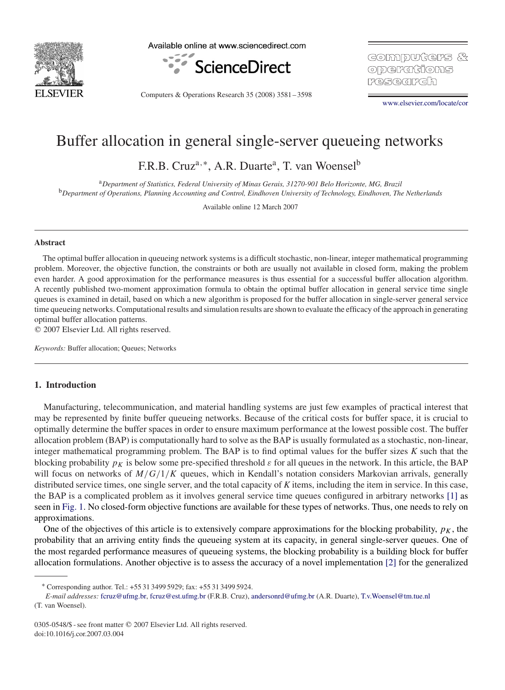

Available online at www.sciencedirect.com



Computers & Operations Research 35 (2008) 3581 – 3598

GOIMPUTCH'S & operafions P.(역로(6) R.(5) R.

[www.elsevier.com/locate/cor](http://www.elsevier.com/locate/cor)

# Buffer allocation in general single-server queueing networks

F.R.B. Cruz<sup>a,\*</sup>, A.R. Duarte<sup>a</sup>, T. van Woensel<sup>b</sup>

<sup>a</sup>*Department of Statistics, Federal University of Minas Gerais, 31270-901 Belo Horizonte, MG, Brazil* <sup>b</sup>*Department of Operations, Planning Accounting and Control, Eindhoven University of Technology, Eindhoven, The Netherlands*

Available online 12 March 2007

## **Abstract**

The optimal buffer allocation in queueing network systems is a difficult stochastic, non-linear, integer mathematical programming problem. Moreover, the objective function, the constraints or both are usually not available in closed form, making the problem even harder. A good approximation for the performance measures is thus essential for a successful buffer allocation algorithm. A recently published two-moment approximation formula to obtain the optimal buffer allocation in general service time single queues is examined in detail, based on which a new algorithm is proposed for the buffer allocation in single-server general service time queueing networks. Computational results and simulation results are shown to evaluate the efficacy of the approach in generating optimal buffer allocation patterns.

 $© 2007 Elsevier Ltd. All rights reserved.$ 

*Keywords:* Buffer allocation; Queues; Networks

# **1. Introduction**

Manufacturing, telecommunication, and material handling systems are just few examples of practical interest that may be represented by finite buffer queueing networks. Because of the critical costs for buffer space, it is crucial to optimally determine the buffer spaces in order to ensure maximum performance at the lowest possible cost. The buffer allocation problem (BAP) is computationally hard to solve as the BAP is usually formulated as a stochastic, non-linear, integer mathematical programming problem. The BAP is to find optimal values for the buffer sizes *K* such that the blocking probability  $p<sub>K</sub>$  is below some pre-specified threshold  $\varepsilon$  for all queues in the network. In this article, the BAP will focus on networks of  $M/G/1/K$  queues, which in Kendall's notation considers Markovian arrivals, generally distributed service times, one single server, and the total capacity of *K* items, including the item in service. In this case, the BAP is a complicated problem as it involves general service time queues configured in arbitrary networks [\[1\]](#page-16-0) as seen in [Fig. 1.](#page-1-0) No closed-form objective functions are available for these types of networks. Thus, one needs to rely on approximations.

One of the objectives of this article is to extensively compare approximations for the blocking probability,  $p<sub>K</sub>$ , the probability that an arriving entity finds the queueing system at its capacity, in general single-server queues. One of the most regarded performance measures of queueing systems, the blocking probability is a building block for buffer allocation formulations. Another objective is to assess the accuracy of a novel implementation [\[2\]](#page-16-0) for the generalized

<sup>∗</sup> Corresponding author. Tel.: +55 31 3499 5929; fax: +55 31 3499 5924.

*E-mail addresses:* [fcruz@ufmg.br,](mailto:fcruz@ufmg.br) [fcruz@est.ufmg.br](mailto:fcruz@est.ufmg.br) (F.R.B. Cruz), [andersonrd@ufmg.br](mailto:andersonrd@ufmg.br) (A.R. Duarte), [T.v.Woensel@tm.tue.nl](mailto:T.v.Woensel@tm.tue.nl) (T. van Woensel).

<sup>0305-0548/\$ -</sup> see front matter © 2007 Elsevier Ltd. All rights reserved. doi:10.1016/j.cor.2007.03.004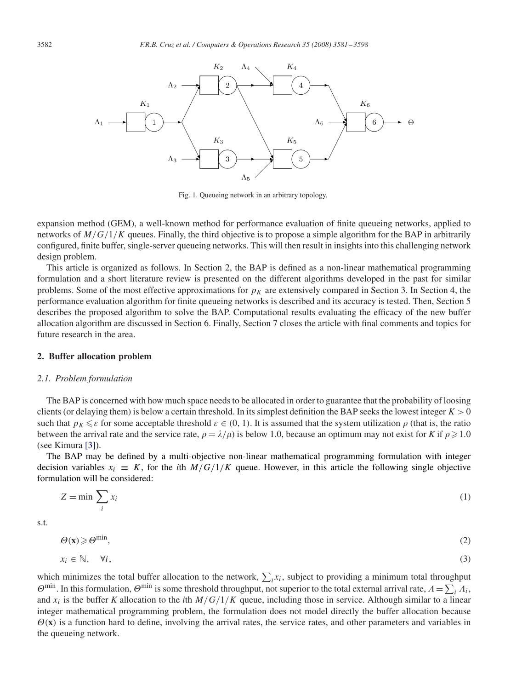<span id="page-1-0"></span>

Fig. 1. Queueing network in an arbitrary topology.

expansion method (GEM), a well-known method for performance evaluation of finite queueing networks, applied to networks of  $M/G/1/K$  queues. Finally, the third objective is to propose a simple algorithm for the BAP in arbitrarily configured, finite buffer, single-server queueing networks. This will then result in insights into this challenging network design problem.

This article is organized as follows. In Section 2, the BAP is defined as a non-linear mathematical programming formulation and a short literature review is presented on the different algorithms developed in the past for similar problems. Some of the most effective approximations for  $p<sub>K</sub>$  are extensively compared in Section 3. In Section 4, the performance evaluation algorithm for finite queueing networks is described and its accuracy is tested. Then, Section 5 describes the proposed algorithm to solve the BAP. Computational results evaluating the efficacy of the new buffer allocation algorithm are discussed in Section 6. Finally, Section 7 closes the article with final comments and topics for future research in the area.

#### **2. Buffer allocation problem**

#### *2.1. Problem formulation*

The BAP is concerned with how much space needs to be allocated in order to guarantee that the probability of loosing clients (or delaying them) is below a certain threshold. In its simplest definition the BAP seeks the lowest integer  $K > 0$ such that  $p_K \leq \varepsilon$  for some acceptable threshold  $\varepsilon \in (0, 1)$ . It is assumed that the system utilization  $\rho$  (that is, the ratio between the arrival rate and the service rate,  $\rho = \lambda/\mu$  is below 1.0, because an optimum may not exist for *K* if  $\rho \ge 1.0$ (see Kimura [\[3\]\)](#page-16-0).

The BAP may be defined by a multi-objective non-linear mathematical programming formulation with integer decision variables  $x_i \equiv K$ , for the *i*th  $M/G/1/K$  queue. However, in this article the following single objective formulation will be considered:

$$
Z = \min \sum_{i} x_i \tag{1}
$$

s.t.

$$
\Theta(\mathbf{x}) \geqslant \Theta^{\min},\tag{2}
$$

$$
x_i \in \mathbb{N}, \quad \forall i,
$$

which minimizes the total buffer allocation to the network,  $\sum_i x_i$ , subject to providing a minimum total throughput  $\Theta^{\min}$ . In this formulation,  $\Theta^{\min}$  is some threshold throughput, not superior to the total external arrival rate,  $A = \sum_i A_i$ , and  $x_i$  is the buffer *K* allocation to the *i*th  $M/G/1/K$  queue, including those in service. Although similar to a linear integer mathematical programming problem, the formulation does not model directly the buffer allocation because  $\Theta(x)$  is a function hard to define, involving the arrival rates, the service rates, and other parameters and variables in the queueing network.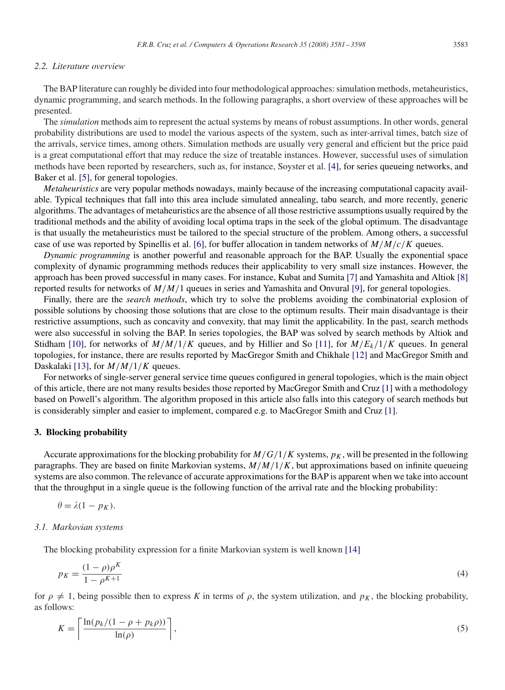# *2.2. Literature overview*

The BAP literature can roughly be divided into four methodological approaches: simulation methods, metaheuristics, dynamic programming, and search methods. In the following paragraphs, a short overview of these approaches will be presented.

The *simulation* methods aim to represent the actual systems by means of robust assumptions. In other words, general probability distributions are used to model the various aspects of the system, such as inter-arrival times, batch size of the arrivals, service times, among others. Simulation methods are usually very general and efficient but the price paid is a great computational effort that may reduce the size of treatable instances. However, successful uses of simulation methods have been reported by researchers, such as, for instance, Soyster et al. [\[4\],](#page-16-0) for series queueing networks, and Baker et al. [\[5\],](#page-16-0) for general topologies.

*Metaheuristics* are very popular methods nowadays, mainly because of the increasing computational capacity available. Typical techniques that fall into this area include simulated annealing, tabu search, and more recently, generic algorithms. The advantages of metaheuristics are the absence of all those restrictive assumptions usually required by the traditional methods and the ability of avoiding local optima traps in the seek of the global optimum. The disadvantage is that usually the metaheuristics must be tailored to the special structure of the problem. Among others, a successful case of use was reported by Spinellis et al. [\[6\],](#page-16-0) for buffer allocation in tandem networks of  $M/M/c/K$  queues.

*Dynamic programming* is another powerful and reasonable approach for the BAP. Usually the exponential space complexity of dynamic programming methods reduces their applicability to very small size instances. However, the approach has been proved successful in many cases. For instance, Kubat and Sumita [\[7\]](#page-16-0) and Yamashita and Altiok [\[8\]](#page-16-0) reported results for networks of M/M/1 queues in series and Yamashita and Onvural [\[9\],](#page-16-0) for general topologies.

Finally, there are the *search methods*, which try to solve the problems avoiding the combinatorial explosion of possible solutions by choosing those solutions that are close to the optimum results. Their main disadvantage is their restrictive assumptions, such as concavity and convexity, that may limit the applicability. In the past, search methods were also successful in solving the BAP. In series topologies, the BAP was solved by search methods by Altiok and Stidham [\[10\],](#page-16-0) for networks of  $M/M/1/K$  queues, and by Hillier and So [\[11\],](#page-16-0) for  $M/E_k/1/K$  queues. In general topologies, for instance, there are results reported by MacGregor Smith and Chikhale [\[12\]](#page-16-0) and MacGregor Smith and Daskalaki [\[13\],](#page-16-0) for  $M/M/1/K$  queues.

For networks of single-server general service time queues configured in general topologies, which is the main object of this article, there are not many results besides those reported by MacGregor Smith and Cruz [\[1\]](#page-16-0) with a methodology based on Powell's algorithm. The algorithm proposed in this article also falls into this category of search methods but is considerably simpler and easier to implement, compared e.g. to MacGregor Smith and Cruz [\[1\].](#page-16-0)

## **3. Blocking probability**

Accurate approximations for the blocking probability for  $M/G/1/K$  systems,  $p<sub>K</sub>$ , will be presented in the following paragraphs. They are based on finite Markovian systems,  $M/M/1/K$ , but approximations based on infinite queueing systems are also common. The relevance of accurate approximations for the BAP is apparent when we take into account that the throughput in a single queue is the following function of the arrival rate and the blocking probability:

$$
\theta = \lambda(1 - p_K).
$$

#### *3.1. Markovian systems*

The blocking probability expression for a finite Markovian system is well known [\[14\]](#page-16-0)

$$
p_K = \frac{(1 - \rho)\rho^K}{1 - \rho^{K+1}}\tag{4}
$$

for  $\rho \neq 1$ , being possible then to express *K* in terms of  $\rho$ , the system utilization, and  $p_K$ , the blocking probability, as follows:

$$
K = \left\lceil \frac{\ln(p_k/(1 - \rho + p_k \rho))}{\ln(\rho)} \right\rceil, \tag{5}
$$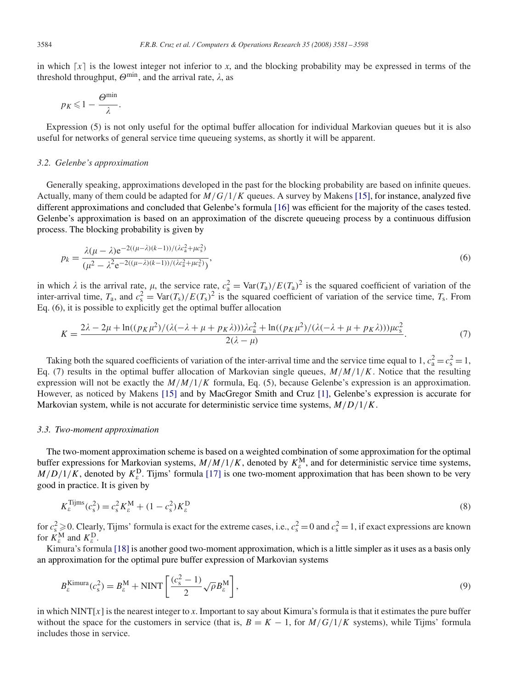in which  $\lceil x \rceil$  is the lowest integer not inferior to *x*, and the blocking probability may be expressed in terms of the threshold throughput,  $\Theta^{\min}$ , and the arrival rate,  $\lambda$ , as

$$
p_K \leq 1 - \frac{\Theta^{\min}}{\lambda}.
$$

Expression (5) is not only useful for the optimal buffer allocation for individual Markovian queues but it is also useful for networks of general service time queueing systems, as shortly it will be apparent.

## *3.2. Gelenbe's approximation*

Generally speaking, approximations developed in the past for the blocking probability are based on infinite queues. Actually, many of them could be adapted for  $M/G/1/K$  queues. A survey by Makens [\[15\],](#page-16-0) for instance, analyzed five different approximations and concluded that Gelenbe's formula [\[16\]](#page-16-0) was efficient for the majority of the cases tested. Gelenbe's approximation is based on an approximation of the discrete queueing process by a continuous diffusion process. The blocking probability is given by

$$
p_k = \frac{\lambda(\mu - \lambda)e^{-2((\mu - \lambda)(k-1))/(\lambda c_a^2 + \mu c_s^2)}}{(\mu^2 - \lambda^2 e^{-2((\mu - \lambda)(k-1))/(\lambda c_a^2 + \mu c_s^2)})},
$$
(6)

in which  $\lambda$  is the arrival rate,  $\mu$ , the service rate,  $c_a^2 = \text{Var}(T_a)/E(T_a)^2$  is the squared coefficient of variation of the inter-arrival time,  $T_a$ , and  $c_s^2 = \text{Var}(T_s)/E(T_s)^2$  is the squared coefficient of variation of the service time,  $T_s$ . From Eq. (6), it is possible to explicitly get the optimal buffer allocation

$$
K = \frac{2\lambda - 2\mu + \ln((p_K\mu^2)/(\lambda(-\lambda + \mu + p_K\lambda)))\lambda c_a^2 + \ln((p_K\mu^2)/(\lambda(-\lambda + \mu + p_K\lambda)))\mu c_s^2}{2(\lambda - \mu)}.
$$
\n<sup>(7)</sup>

Taking both the squared coefficients of variation of the inter-arrival time and the service time equal to 1,  $c_a^2 = c_s^2 = 1$ , Eq. (7) results in the optimal buffer allocation of Markovian single queues,  $M/M/1/K$ . Notice that the resulting expression will not be exactly the  $M/M/1/K$  formula, Eq. (5), because Gelenbe's expression is an approximation. However, as noticed by Makens [\[15\]](#page-16-0) and by MacGregor Smith and Cruz [\[1\],](#page-16-0) Gelenbe's expression is accurate for Markovian system, while is not accurate for deterministic service time systems,  $M/D/1/K$ .

#### *3.3. Two-moment approximation*

The two-moment approximation scheme is based on a weighted combination of some approximation for the optimal buffer expressions for Markovian systems,  $M/M/1/K$ , denoted by  $K_{\varepsilon}^{M}$ , and for deterministic service time systems,  $M/D/1/K$ , denoted by  $K_{\varepsilon}^D$ . Tijms' formula [\[17\]](#page-16-0) is one two-moment approximation that has been shown to be very good in practice. It is given by

$$
K_{\varepsilon}^{\text{Tijms}}(c_s^2) = c_s^2 K_{\varepsilon}^{\text{M}} + (1 - c_s^2) K_{\varepsilon}^{\text{D}}
$$
\n(8)

for  $c_s^2 \ge 0$ . Clearly, Tijms' formula is exact for the extreme cases, i.e.,  $c_s^2 = 0$  and  $c_s^2 = 1$ , if exact expressions are known for  $\tilde{K}_{\varepsilon}^{\text{M}}$  and  $K_{\varepsilon}^{\text{D}}$ .

Kimura's formula [\[18\]](#page-16-0) is another good two-moment approximation, which is a little simpler as it uses as a basis only an approximation for the optimal pure buffer expression of Markovian systems

$$
B_{\varepsilon}^{\text{Kimura}}(c_s^2) = B_{\varepsilon}^{\text{M}} + \text{NINT}\left[\frac{(c_s^2 - 1)}{2}\sqrt{\rho}B_{\varepsilon}^{\text{M}}\right],\tag{9}
$$

in which  $NINT[x]$  is the nearest integer to x. Important to say about Kimura's formula is that it estimates the pure buffer without the space for the customers in service (that is,  $B = K - 1$ , for  $M/G/1/K$  systems), while Tijms' formula includes those in service.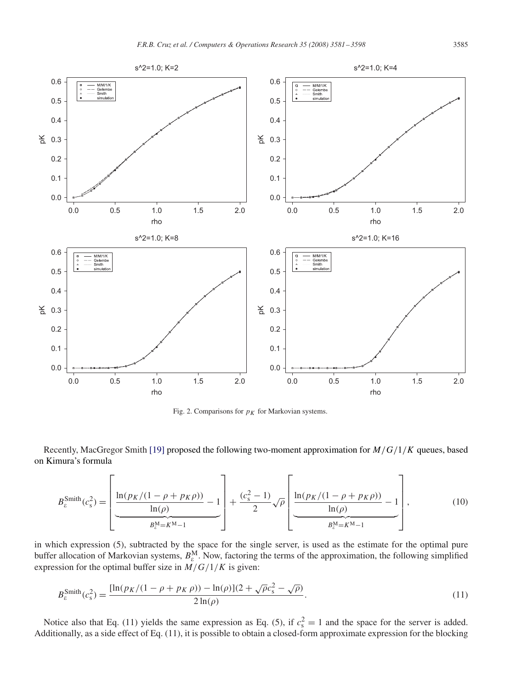<span id="page-4-0"></span>

Fig. 2. Comparisons for  $p<sub>K</sub>$  for Markovian systems.

Recently, MacGregor Smith [\[19\]](#page-16-0) proposed the following two-moment approximation for  $M/G/1/K$  queues, based on Kimura's formula

$$
B_{\varepsilon}^{\text{Smith}}(c_{\text{s}}^2) = \left[ \frac{\ln(p_K/(1-\rho+p_K\rho))}{\ln(\rho)} - 1 \right] + \frac{(c_{\text{s}}^2 - 1)}{2} \sqrt{\rho} \left[ \frac{\ln(p_K/(1-\rho+p_K\rho))}{\ln(\rho)} - 1 \right],
$$
(10)

in which expression (5), subtracted by the space for the single server, is used as the estimate for the optimal pure buffer allocation of Markovian systems,  $B_{\varepsilon}^M$ . Now, factoring the terms of the approximation, the following simplified expression for the optimal buffer size in  $M/G/1/K$  is given:

$$
B_{\varepsilon}^{\text{Smith}}(c_s^2) = \frac{[\ln(p_K/(1 - \rho + p_K \rho)) - \ln(\rho)](2 + \sqrt{\rho}c_s^2 - \sqrt{\rho})}{2\ln(\rho)}.
$$
\n(11)

Notice also that Eq. (11) yields the same expression as Eq. (5), if  $c_s^2 = 1$  and the space for the server is added. Additionally, as a side effect of Eq. (11), it is possible to obtain a closed-form approximate expression for the blocking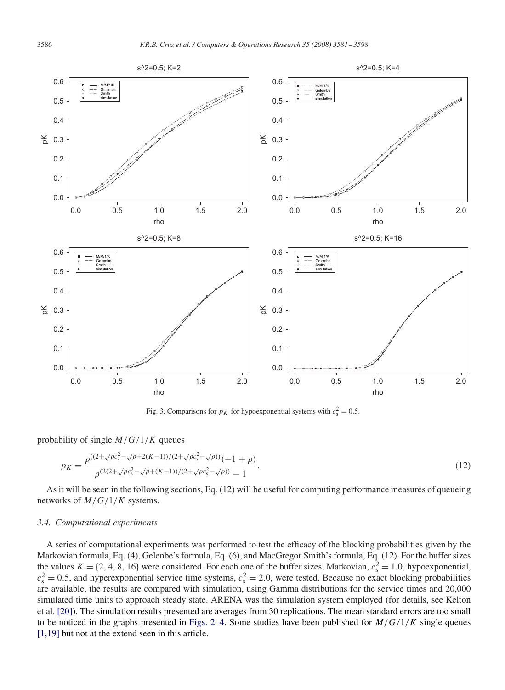<span id="page-5-0"></span>

Fig. 3. Comparisons for  $p<sub>K</sub>$  for hypoexponential systems with  $c<sub>s</sub><sup>2</sup> = 0.5$ .

probability of single  $M/G/1/K$  queues

$$
p_K = \frac{\rho^{((2+\sqrt{\rho}c_s^2 - \sqrt{\rho} + 2(K-1))/(2+\sqrt{\rho}c_s^2 - \sqrt{\rho}))}(-1+\rho)}{\rho^{(2(2+\sqrt{\rho}c_s^2 - \sqrt{\rho} + (K-1))/(2+\sqrt{\rho}c_s^2 - \sqrt{\rho}))} - 1}.
$$
\n(12)

As it will be seen in the following sections, Eq. (12) will be useful for computing performance measures of queueing networks of  $M/G/1/K$  systems.

# *3.4. Computational experiments*

A series of computational experiments was performed to test the efficacy of the blocking probabilities given by the Markovian formula, Eq. (4), Gelenbe's formula, Eq. (6), and MacGregor Smith's formula, Eq. (12). For the buffer sizes the values  $K = \{2, 4, 8, 16\}$  were considered. For each one of the buffer sizes, Markovian,  $c_s^2 = 1.0$ , hypoexponential,  $c_s^2 = 0.5$ , and hyperexponential service time systems,  $c_s^2 = 2.0$ , were tested. Because no exact blocking probabilities are available, the results are compared with simulation, using Gamma distributions for the service times and 20,000 simulated time units to approach steady state. ARENA was the simulation system employed (for details, see Kelton et al. [\[20\]\)](#page-16-0). The simulation results presented are averages from 30 replications. The mean standard errors are too small to be noticed in the graphs presented in Figs. 2–4. Some studies have been published for  $M/G/1/K$  single queues [1,19] but not at the extend seen in this article.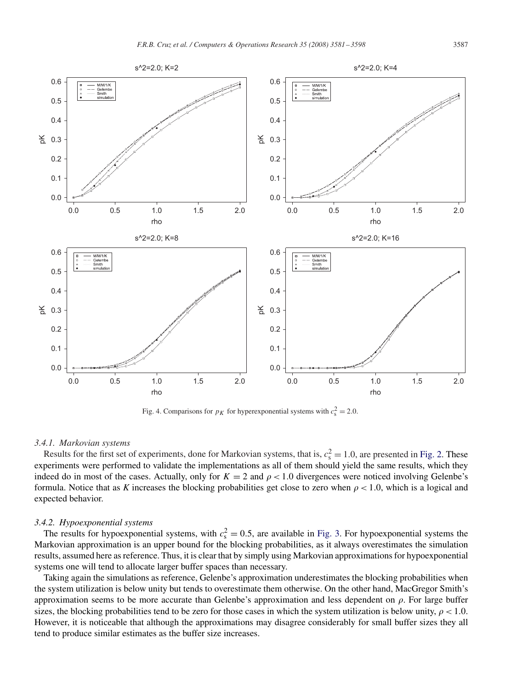

<span id="page-6-0"></span>

Fig. 4. Comparisons for  $p<sub>K</sub>$  for hyperexponential systems with  $c<sub>s</sub><sup>2</sup> = 2.0$ .

## *3.4.1. Markovian systems*

Results for the first set of experiments, done for Markovian systems, that is,  $c_s^2 = 1.0$ , are presented in [Fig. 2.](#page-4-0) These experiments were performed to validate the implementations as all of them should yield the same results, which they indeed do in most of the cases. Actually, only for  $K = 2$  and  $\rho < 1.0$  divergences were noticed involving Gelenbe's formula. Notice that as K increases the blocking probabilities get close to zero when  $\rho < 1.0$ , which is a logical and expected behavior.

# *3.4.2. Hypoexponential systems*

The results for hypoexponential systems, with  $c_s^2 = 0.5$ , are available in [Fig. 3.](#page-5-0) For hypoexponential systems the Markovian approximation is an upper bound for the blocking probabilities, as it always overestimates the simulation results, assumed here as reference. Thus, it is clear that by simply using Markovian approximations for hypoexponential systems one will tend to allocate larger buffer spaces than necessary.

Taking again the simulations as reference, Gelenbe's approximation underestimates the blocking probabilities when the system utilization is below unity but tends to overestimate them otherwise. On the other hand, MacGregor Smith's approximation seems to be more accurate than Gelenbe's approximation and less dependent on  $\rho$ . For large buffer sizes, the blocking probabilities tend to be zero for those cases in which the system utilization is below unity,  $\rho < 1.0$ . However, it is noticeable that although the approximations may disagree considerably for small buffer sizes they all tend to produce similar estimates as the buffer size increases.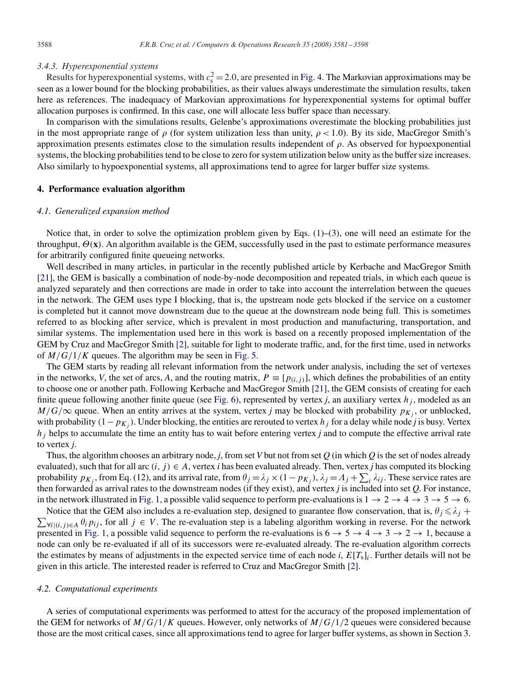#### *3.4.3. Hyperexponential systems*

Results for hyperexponential systems, with  $c_s^2 = 2.0$ , are presented in [Fig. 4.](#page-6-0) The Markovian approximations may be seen as a lower bound for the blocking probabilities, as their values always underestimate the simulation results, taken here as references. The inadequacy of Markovian approximations for hyperexponential systems for optimal buffer allocation purposes is confirmed. In this case, one will allocate less buffer space than necessary.

In comparison with the simulations results, Gelenbe's approximations overestimate the blocking probabilities just in the most appropriate range of  $\rho$  (for system utilization less than unity,  $\rho < 1.0$ ). By its side, MacGregor Smith's approximation presents estimates close to the simulation results independent of  $\rho$ . As observed for hypoexponential systems, the blocking probabilities tend to be close to zero for system utilization below unity as the buffer size increases. Also similarly to hypoexponential systems, all approximations tend to agree for larger buffer size systems.

# **4. Performance evaluation algorithm**

#### *4.1. Generalized expansion method*

Notice that, in order to solve the optimization problem given by Eqs.  $(1)$ – $(3)$ , one will need an estimate for the throughput,  $\Theta(x)$ . An algorithm available is the GEM, successfully used in the past to estimate performance measures for arbitrarily configured finite queueing networks.

Well described in many articles, in particular in the recently published article by Kerbache and MacGregor Smith [\[21\],](#page-16-0) the GEM is basically a combination of node-by-node decomposition and repeated trials, in which each queue is analyzed separately and then corrections are made in order to take into account the interrelation between the queues in the network. The GEM uses type I blocking, that is, the upstream node gets blocked if the service on a customer is completed but it cannot move downstream due to the queue at the downstream node being full. This is sometimes referred to as blocking after service, which is prevalent in most production and manufacturing, transportation, and similar systems. The implementation used here in this work is based on a recently proposed implementation of the GEM by Cruz and MacGregor Smith [\[2\],](#page-16-0) suitable for light to moderate traffic, and, for the first time, used in networks of  $M/G/1/K$  queues. The algorithm may be seen in [Fig. 5.](#page-8-0)

The GEM starts by reading all relevant information from the network under analysis, including the set of vertexes in the networks, *V*, the set of arcs, *A*, and the routing matrix,  $P \equiv [p_{(i,j)}]$ , which defines the probabilities of an entity to choose one or another path. Following Kerbache and MacGregor Smith [\[21\],](#page-16-0) the GEM consists of creating for each finite queue following another finite queue (see [Fig. 6\)](#page-8-0), represented by vertex *j*, an auxiliary vertex  $h_j$ , modeled as an  $M/G/\infty$  queue. When an entity arrives at the system, vertex *j* may be blocked with probability  $p_{K_i}$ , or unblocked, with probability  $(1-p_{K<sub>i</sub>})$ . Under blocking, the entities are rerouted to vertex  $h<sub>i</sub>$  for a delay while node *j* is busy. Vertex  $h_j$  helps to accumulate the time an entity has to wait before entering vertex  $j$  and to compute the effective arrival rate to vertex *j*.

Thus, the algorithm chooses an arbitrary node, *j*, from set *V* but not from set *Q* (in which *Q* is the set of nodes already evaluated), such that for all arc  $(i, j) \in A$ , vertex *i* has been evaluated already. Then, vertex *j* has computed its blocking probability  $p_{K_j}$ , from Eq. (12), and its arrival rate, from  $\theta_j = \lambda_j \times (1-p_{K_j})$ ,  $\lambda_j = A_j + \sum_i \lambda_{ij}$ . These service rates are then forwarded as arrival rates to the downstream nodes (if they exist), and vertex *j* is included into set *Q*. For instance, in the network illustrated in [Fig. 1,](#page-1-0) a possible valid sequence to perform pre-evaluations is  $1 \rightarrow 2 \rightarrow 4 \rightarrow 3 \rightarrow 5 \rightarrow 6$ .

 $\sum_{\forall i|(i,j)\in A} \theta_i p_{ij}$ , for all  $j \in V$ . The re-evaluation step is a labeling algorithm working in reverse. For the network Notice that the GEM also includes a re-evaluation step, designed to guarantee flow conservation, that is,  $\theta_j \leq \lambda_j +$ presented in [Fig. 1,](#page-1-0) a possible valid sequence to perform the re-evaluations is  $6 \rightarrow 5 \rightarrow 4 \rightarrow 3 \rightarrow 2 \rightarrow 1$ , because a node can only be re-evaluated if all of its successors were re-evaluated already. The re-evaluation algorithm corrects the estimates by means of adjustments in the expected service time of each node *i*,  $E[T_s]_i$ . Further details will not be given in this article. The interested reader is referred to Cruz and MacGregor Smith [\[2\].](#page-16-0)

## *4.2. Computational experiments*

A series of computational experiments was performed to attest for the accuracy of the proposed implementation of the GEM for networks of  $M/G/1/K$  queues. However, only networks of  $M/G/1/2$  queues were considered because those are the most critical cases, since all approximations tend to agree for larger buffer systems, as shown in Section 3.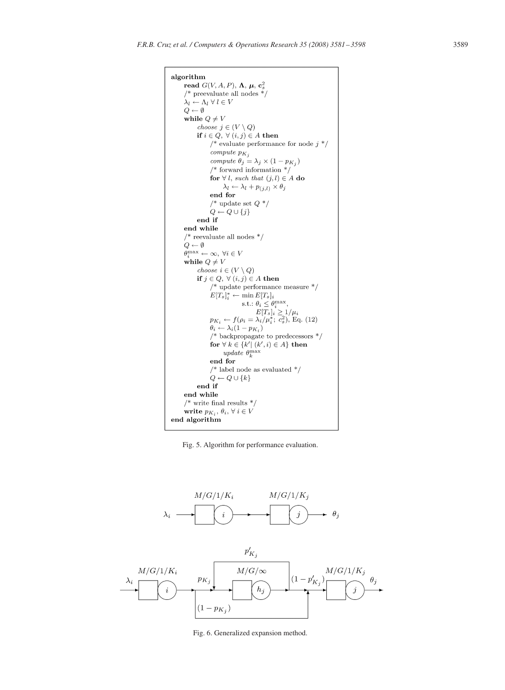```
algorithm
 read G(V, A, P), \Lambda, \mu, c_s^2\text{/}^* preevaluate all nodes \text{*}/\lambda_l \leftarrow \Lambda_l \; \forall \; l \in VQ \leftarrow \emptysetwhile Q \neq Vchoose j \in (V \setminus Q)if i \in Q, \forall (i, j) \in A then
               /* evaluate performance for node j*/\sum_{\text{compute }p_{K_j}}compute \theta_j = \lambda_j \times (1 - p_{K_j})/* forward information */for \forall l, such that (j, l) \in A do
                     \lambda_l \leftarrow \lambda_l + p_{(j,l)} \times \theta_jend for
               \! wpdate set Q ^*/Q \leftarrow Q \cup \{j\}end if
 end while
  /* reevaluate all nodes */Q \leftarrow \emptyset\ddot{\theta}_i^{\max} \leftarrow \infty, \ \forall i \in Vwhile Q \neq Vchoose i \in (V \setminus Q)if j \in Q, \forall (i, j) \in A then
               /* update performance measure */E[T_s]^*_{i} \leftarrow \min E[T_s]_iE[Is]_i \sim \frac{\text{min } L[Is]_i}{\text{s.t.}: \theta_i \leq \theta_i^{\text{max}}},<br>E[T_s]_i \geq 1/\mu_i<br>p_{K_i} \leftarrow f(\rho_i = \lambda_i/\mu_i^*; c_s^2), \text{Eq. (12)}\theta_i \leftarrow \lambda_i (1-p_{K_i})/* backpropagate to predecessors */for \forall k \in \{k' | (k', i) \in A\} then
                     update \theta_k^{\max}end for
               \!^* label node as evaluated ^*/Q \leftarrow Q \cup \{k\}end if
  end while
  /* write final results */write p_{K_i},\, \theta_i,\, \forall\; i\in Vend algorithm
```
Fig. 5. Algorithm for performance evaluation.



Fig. 6. Generalized expansion method.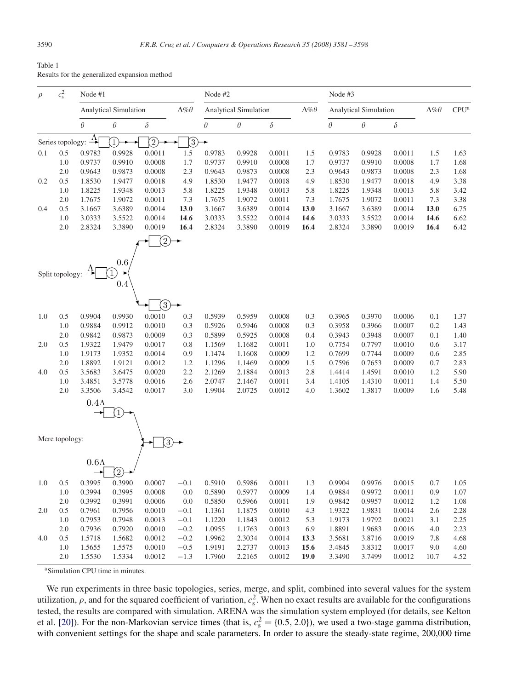<span id="page-9-0"></span>

| Table 1                                      |  |
|----------------------------------------------|--|
| Results for the generalized expansion method |  |

| $\rho$ | $c_{\rm s}^2$    | Node #1                                           |                   |                |                                                   | Node #2  |          |                              |      | Node #3  |                   |                  |      |      |
|--------|------------------|---------------------------------------------------|-------------------|----------------|---------------------------------------------------|----------|----------|------------------------------|------|----------|-------------------|------------------|------|------|
|        |                  | $\Delta\% \theta$<br><b>Analytical Simulation</b> |                   |                | $\Delta\% \theta$<br><b>Analytical Simulation</b> |          |          | <b>Analytical Simulation</b> |      |          | $\Delta\% \theta$ | CPU <sup>a</sup> |      |      |
|        |                  | $\theta$                                          | $\theta$          | $\delta$       |                                                   | $\theta$ | $\theta$ | $\delta$                     |      | $\theta$ | $\theta$          | $\delta$         |      |      |
|        | Series topology: | $\rightarrow$                                     | $\mathcal{D}$     | $\widehat{2)}$ | ③                                                 |          |          |                              |      |          |                   |                  |      |      |
| 0.1    | 0.5              | 0.9783                                            | 0.9928            | 0.0011         | 1.5                                               | 0.9783   | 0.9928   | 0.0011                       | 1.5  | 0.9783   | 0.9928            | 0.0011           | 1.5  | 1.63 |
|        | 1.0              | 0.9737                                            | 0.9910            | 0.0008         | 1.7                                               | 0.9737   | 0.9910   | 0.0008                       | 1.7  | 0.9737   | 0.9910            | 0.0008           | 1.7  | 1.68 |
|        | 2.0              | 0.9643                                            | 0.9873            | 0.0008         | 2.3                                               | 0.9643   | 0.9873   | 0.0008                       | 2.3  | 0.9643   | 0.9873            | 0.0008           | 2.3  | 1.68 |
| 0.2    | 0.5              | 1.8530                                            | 1.9477            | 0.0018         | 4.9                                               | 1.8530   | 1.9477   | 0.0018                       | 4.9  | 1.8530   | 1.9477            | 0.0018           | 4.9  | 3.38 |
|        | 1.0              | 1.8225                                            | 1.9348            | 0.0013         | 5.8                                               | 1.8225   | 1.9348   | 0.0013                       | 5.8  | 1.8225   | 1.9348            | 0.0013           | 5.8  | 3.42 |
|        | 2.0              | 1.7675                                            | 1.9072            | 0.0011         | 7.3                                               | 1.7675   | 1.9072   | 0.0011                       | 7.3  | 1.7675   | 1.9072            | 0.0011           | 7.3  | 3.38 |
| 0.4    | 0.5              | 3.1667                                            | 3.6389            | 0.0014         | 13.0                                              | 3.1667   | 3.6389   | 0.0014                       | 13.0 | 3.1667   | 3.6389            | 0.0014           | 13.0 | 6.75 |
|        | 1.0              | 3.0333                                            | 3.5522            | 0.0014         | 14.6                                              | 3.0333   | 3.5522   | 0.0014                       | 14.6 | 3.0333   | 3.5522            | 0.0014           | 14.6 | 6.62 |
|        | 2.0              | 2.8324                                            | 3.3890            | 0.0019         | 16.4                                              | 2.8324   | 3.3890   | 0.0019                       | 16.4 | 2.8324   | 3.3890            | 0.0019           | 16.4 | 6.42 |
|        |                  |                                                   | 0.6               | $\widehat{2}$  |                                                   |          |          |                              |      |          |                   |                  |      |      |
|        | Split topology:  |                                                   | 0.4               |                |                                                   |          |          |                              |      |          |                   |                  |      |      |
|        |                  |                                                   |                   | 3              |                                                   |          |          |                              |      |          |                   |                  |      |      |
| 1.0    | 0.5              | 0.9904                                            | 0.9930            | 0.0010         | 0.3                                               | 0.5939   | 0.5959   | 0.0008                       | 0.3  | 0.3965   | 0.3970            | 0.0006           | 0.1  | 1.37 |
|        | 1.0              | 0.9884                                            | 0.9912            | 0.0010         | 0.3                                               | 0.5926   | 0.5946   | 0.0008                       | 0.3  | 0.3958   | 0.3966            | 0.0007           | 0.2  | 1.43 |
|        | 2.0              | 0.9842                                            | 0.9873            | 0.0009         | 0.3                                               | 0.5899   | 0.5925   | 0.0008                       | 0.4  | 0.3943   | 0.3948            | 0.0007           | 0.1  | 1.40 |
| 2.0    | 0.5              | 1.9322                                            | 1.9479            | 0.0017         | 0.8                                               | 1.1569   | 1.1682   | 0.0011                       | 1.0  | 0.7754   | 0.7797            | 0.0010           | 0.6  | 3.17 |
|        | 1.0              | 1.9173                                            | 1.9352            | 0.0014         | 0.9                                               | 1.1474   | 1.1608   | 0.0009                       | 1.2  | 0.7699   | 0.7744            | 0.0009           | 0.6  | 2.85 |
|        | 2.0              | 1.8892                                            | 1.9121            | 0.0012         | 1.2                                               | 1.1296   | 1.1469   | 0.0009                       | 1.5  | 0.7596   | 0.7653            | 0.0009           | 0.7  | 2.83 |
| 4.0    | 0.5              | 3.5683                                            | 3.6475            | 0.0020         | 2.2                                               | 2.1269   | 2.1884   | 0.0013                       | 2.8  | 1.4414   | 1.4591            | 0.0010           | 1.2  | 5.90 |
|        | 1.0              | 3.4851                                            | 3.5778            | 0.0016         | 2.6                                               | 2.0747   | 2.1467   | 0.0011                       | 3.4  | 1.4105   | 1.4310            | 0.0011           | 1.4  | 5.50 |
|        | 2.0              | 3.3506                                            | 3.4542            | 0.0017         | 3.0                                               | 1.9904   | 2.0725   | 0.0012                       | 4.0  | 1.3602   | 1.3817            | 0.0009           | 1.6  | 5.48 |
|        |                  | $0.4\Lambda$                                      | $\left(1\right)$  |                |                                                   |          |          |                              |      |          |                   |                  |      |      |
|        | Mere topology:   |                                                   |                   | 3,             |                                                   |          |          |                              |      |          |                   |                  |      |      |
|        |                  | $0.6\Lambda$                                      | $\left( 2\right)$ |                |                                                   |          |          |                              |      |          |                   |                  |      |      |
| 1.0    | 0.5              | 0.3995                                            | 0.3990            | 0.0007         | $-0.1$                                            | 0.5910   | 0.5986   | 0.0011                       | 1.3  | 0.9904   | 0.9976            | 0.0015           | 0.7  | 1.05 |
|        | 1.0              | 0.3994                                            | 0.3995            | 0.0008         | 0.0                                               | 0.5890   | 0.5977   | 0.0009                       | 1.4  | 0.9884   | 0.9972            | 0.0011           | 0.9  | 1.07 |
|        | 2.0              | 0.3992                                            | 0.3991            | 0.0006         | 0.0                                               | 0.5850   | 0.5966   | 0.0011                       | 1.9  | 0.9842   | 0.9957            | 0.0012           | 1.2  | 1.08 |
| 2.0    | 0.5              | 0.7961                                            | 0.7956            | 0.0010         | $-0.1$                                            | 1.1361   | 1.1875   | 0.0010                       | 4.3  | 1.9322   | 1.9831            | 0.0014           | 2.6  | 2.28 |
|        | 1.0              | 0.7953                                            | 0.7948            | 0.0013         | $-0.1$                                            | 1.1220   | 1.1843   | 0.0012                       | 5.3  | 1.9173   | 1.9792            | 0.0021           | 3.1  | 2.25 |
|        | 2.0              | 0.7936                                            | 0.7920            | 0.0010         | $-0.2$                                            | 1.0955   | 1.1763   | 0.0013                       | 6.9  | 1.8891   | 1.9683            | 0.0016           | 4.0  | 2.23 |
| 4.0    | 0.5              | 1.5718                                            | 1.5682            | 0.0012         | $-0.2$                                            | 1.9962   | 2.3034   | 0.0014                       | 13.3 | 3.5681   | 3.8716            | 0.0019           | 7.8  | 4.68 |
|        | 1.0              | 1.5655                                            | 1.5575            | 0.0010         | $-0.5$                                            | 1.9191   | 2.2737   | 0.0013                       | 15.6 | 3.4845   | 3.8312            | 0.0017           | 9.0  | 4.60 |
|        | 2.0              | 1.5530                                            | 1.5334            | 0.0012         | $-1.3$                                            | 1.7960   | 2.2165   | 0.0012                       | 19.0 | 3.3490   | 3.7499            | 0.0012           | 10.7 | 4.52 |

<sup>a</sup>Simulation CPU time in minutes.

We run experiments in three basic topologies, series, merge, and split, combined into several values for the system utilization,  $\rho$ , and for the squared coefficient of variation,  $c_s^2$ . When no exact results are available for the configurations tested, the results are compared with simulation. ARENA was the simulation system employed (for details, see Kelton et al. [\[20\]\)](#page-16-0). For the non-Markovian service times (that is,  $c_s^2 = \{0.5, 2.0\}$ ), we used a two-stage gamma distribution, with convenient settings for the shape and scale parameters. In order to assure the steady-state regime, 200,000 time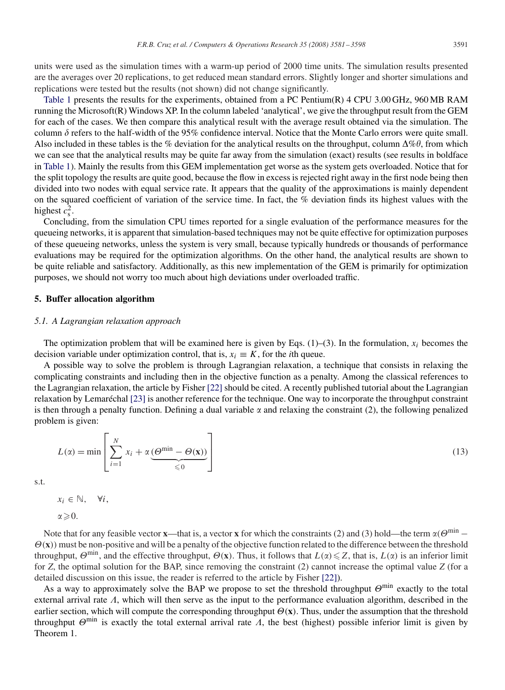units were used as the simulation times with a warm-up period of 2000 time units. The simulation results presented are the averages over 20 replications, to get reduced mean standard errors. Slightly longer and shorter simulations and replications were tested but the results (not shown) did not change significantly.

[Table 1](#page-9-0) presents the results for the experiments, obtained from a PC Pentium(R) 4 CPU 3.00 GHz, 960 MB RAM running the Microsoft(R) Windows XP. In the column labeled 'analytical', we give the throughput result from the GEM for each of the cases. We then compare this analytical result with the average result obtained via the simulation. The column  $\delta$  refers to the half-width of the 95% confidence interval. Notice that the Monte Carlo errors were quite small. Also included in these tables is the % deviation for the analytical results on the throughput, column  $\Delta\% \theta$ , from which we can see that the analytical results may be quite far away from the simulation (exact) results (see results in boldface in [Table 1\)](#page-9-0). Mainly the results from this GEM implementation get worse as the system gets overloaded. Notice that for the split topology the results are quite good, because the flow in excess is rejected right away in the first node being then divided into two nodes with equal service rate. It appears that the quality of the approximations is mainly dependent on the squared coefficient of variation of the service time. In fact, the % deviation finds its highest values with the highest  $c_s^2$ .

Concluding, from the simulation CPU times reported for a single evaluation of the performance measures for the queueing networks, it is apparent that simulation-based techniques may not be quite effective for optimization purposes of these queueing networks, unless the system is very small, because typically hundreds or thousands of performance evaluations may be required for the optimization algorithms. On the other hand, the analytical results are shown to be quite reliable and satisfactory. Additionally, as this new implementation of the GEM is primarily for optimization purposes, we should not worry too much about high deviations under overloaded traffic.

## **5. Buffer allocation algorithm**

## *5.1. A Lagrangian relaxation approach*

The optimization problem that will be examined here is given by Eqs.  $(1)$ – $(3)$ . In the formulation,  $x_i$  becomes the decision variable under optimization control, that is,  $x_i \equiv K$ , for the *i*th queue.

A possible way to solve the problem is through Lagrangian relaxation, a technique that consists in relaxing the complicating constraints and including then in the objective function as a penalty. Among the classical references to the Lagrangian relaxation, the article by Fisher [\[22\]](#page-17-0) should be cited. A recently published tutorial about the Lagrangian relaxation by Lemaréchal [\[23\]](#page-17-0) is another reference for the technique. One way to incorporate the throughput constraint is then through a penalty function. Defining a dual variable  $\alpha$  and relaxing the constraint (2), the following penalized problem is given:

$$
L(\alpha) = \min \left[ \sum_{i=1}^{N} x_i + \alpha \underbrace{(\Theta^{\min} - \Theta(\mathbf{x}))}_{\leq 0} \right]
$$
\n(13)

s.t.

 $x_i \in \mathbb{N}, \quad \forall i,$ 

 $\alpha \geqslant 0$ .

Note that for any feasible vector **x**—that is, a vector **x** for which the constraints (2) and (3) hold—the term  $\alpha(\Theta^{\min} - \Theta)$  $\Theta(x)$ ) must be non-positive and will be a penalty of the objective function related to the difference between the threshold throughput,  $\Theta^{\min}$ , and the effective throughput,  $\Theta(x)$ . Thus, it follows that  $L(\alpha) \leq Z$ , that is,  $L(\alpha)$  is an inferior limit for  $Z$ , the optimal solution for the BAP, since removing the constraint  $(2)$  cannot increase the optimal value  $Z$  (for a detailed discussion on this issue, the reader is referred to the article by Fisher [\[22\]\)](#page-17-0).

As a way to approximately solve the BAP we propose to set the threshold throughput  $\Theta^{\min}$  exactly to the total external arrival rate  $\Lambda$ , which will then serve as the input to the performance evaluation algorithm, described in the earlier section, which will compute the corresponding throughput  $\Theta(x)$ . Thus, under the assumption that the threshold throughput  $\Theta^{\min}$  is exactly the total external arrival rate  $\Lambda$ , the best (highest) possible inferior limit is given by Theorem 1.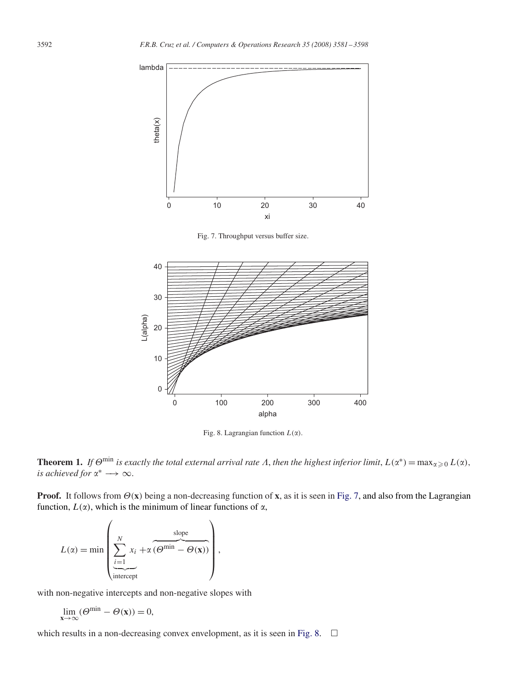

Fig. 7. Throughput versus buffer size.



Fig. 8. Lagrangian function  $L(\alpha)$ .

**Theorem 1.** If  $\Theta^{\min}$  is exactly the total external arrival rate  $\Lambda$ , then the highest inferior limit,  $L(\alpha^*) = \max_{\alpha \geq 0} L(\alpha)$ , *is achieved for*  $\alpha^* \longrightarrow \infty$ .

**Proof.** It follows from  $\Theta(x)$  being a non-decreasing function of **x**, as it is seen in Fig. 7, and also from the Lagrangian function,  $L(\alpha)$ , which is the minimum of linear functions of  $\alpha$ ,

$$
L(\alpha) = \min \left( \sum_{\substack{i=1 \text{intercept}}}^{N} x_i + \alpha \underbrace{(\Theta^{\min} - \Theta(\mathbf{x}))}_{\text{intercept}} \right),
$$

with non-negative intercepts and non-negative slopes with

$$
\lim_{\mathbf{x}\to\infty}(\Theta^{\min}-\Theta(\mathbf{x}))=0,
$$

which results in a non-decreasing convex envelopment, as it is seen in Fig. 8.  $\Box$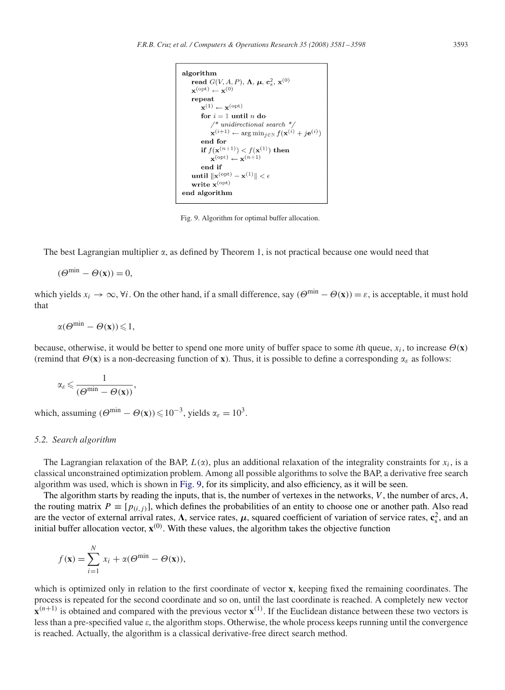```
algorithm
read G(V, A, P), \Lambda, \mu, c_s^2, \mathbf{x}^{(0)}\mathbf{x}^{(\text{opt})} \leftarrow \mathbf{x}^{(0)}repeat
      \mathbf{x}^{(1)} \leftarrow \mathbf{x}^{(\text{opt})}for i=1 until n do
            \text{}/\text{*} unidirectional search \text{*}/\mathbf{x}^{(i+1)} \leftarrow \arg\min_{i \in \mathbb{N}} f(\mathbf{x}^{(i)} + j\mathbf{e}^{(i)})end for
       if f(\mathbf{x}^{(n+1)}) < f(\mathbf{x}^{(1)}) then
           \mathbf{x}^{(\text{opt})} \leftarrow \mathbf{x}^{(n+1)}end if
 until \|\mathbf{x}^{\text{(opt)}} - \mathbf{x}^{(1)}\| < \epsilonwrite \mathbf{x}^{\text{(opt)}}end algorithm
```
Fig. 9. Algorithm for optimal buffer allocation.

The best Lagrangian multiplier  $\alpha$ , as defined by Theorem 1, is not practical because one would need that

 $(\Theta^{\min} - \Theta(\mathbf{x})) = 0,$ 

which yields  $x_i \to \infty$ ,  $\forall i$ . On the other hand, if a small difference, say  $(\Theta^{\min} - \Theta(\mathbf{x})) = \varepsilon$ , is acceptable, it must hold that

$$
\alpha(\Theta^{\min}-\Theta(\mathbf{x}))\leqslant 1,
$$

because, otherwise, it would be better to spend one more unity of buffer space to some *i*th queue,  $x_i$ , to increase  $\Theta(\mathbf{x})$ (remind that  $\Theta(\mathbf{x})$  is a non-decreasing function of **x**). Thus, it is possible to define a corresponding  $\alpha_{\varepsilon}$  as follows:

$$
\alpha_\varepsilon \leqslant \frac{1}{(\varTheta^{\min}-\varTheta(\mathbf{x}))},
$$

which, assuming  $(\Theta^{\min} - \Theta(\mathbf{x})) \leq 10^{-3}$ , yields  $\alpha_{\varepsilon} = 10^3$ .

# *5.2. Search algorithm*

The Lagrangian relaxation of the BAP,  $L(\alpha)$ , plus an additional relaxation of the integrality constraints for  $x_i$ , is a classical unconstrained optimization problem. Among all possible algorithms to solve the BAP, a derivative free search algorithm was used, which is shown in Fig. 9, for its simplicity, and also efficiency, as it will be seen.

The algorithm starts by reading the inputs, that is, the number of vertexes in the networks, V , the number of arcs, *A*, the routing matrix  $P \equiv [p(i,j)]$ , which defines the probabilities of an entity to choose one or another path. Also read are the vector of external arrival rates,  $\Lambda$ , service rates,  $\mu$ , squared coefficient of variation of service rates,  $c_s^2$ , and an initial buffer allocation vector,  $\mathbf{x}^{(0)}$ . With these values, the algorithm takes the objective function

$$
f(\mathbf{x}) = \sum_{i=1}^{N} x_i + \alpha(\Theta^{\min} - \Theta(\mathbf{x})),
$$

which is optimized only in relation to the first coordinate of vector **x**, keeping fixed the remaining coordinates. The process is repeated for the second coordinate and so on, until the last coordinate is reached. A completely new vector  $\mathbf{x}^{(n+1)}$  is obtained and compared with the previous vector  $\mathbf{x}^{(1)}$ . If the Euclidean distance between these two vectors is less than a pre-specified value  $\varepsilon$ , the algorithm stops. Otherwise, the whole process keeps running until the convergence is reached. Actually, the algorithm is a classical derivative-free direct search method.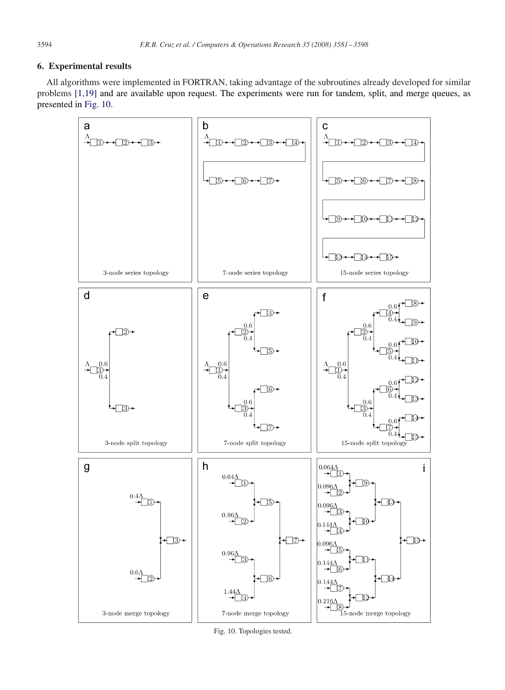# **6. Experimental results**

All algorithms were implemented in FORTRAN, taking advantage of the subroutines already developed for similar problems [1,19] and are available upon request. The experiments were run for tandem, split, and merge queues, as presented in Fig. 10.



Fig. 10. Topologies tested.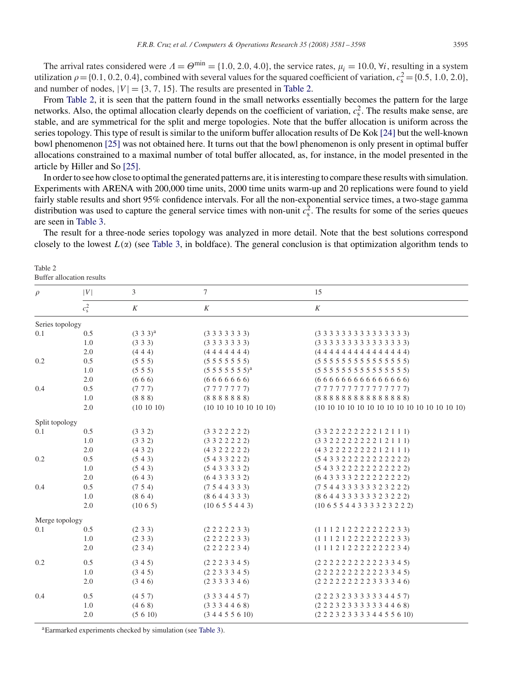<span id="page-14-0"></span>The arrival rates considered were  $A = \Theta^{\min} = \{1.0, 2.0, 4.0\}$ , the service rates,  $\mu_i = 10.0$ ,  $\forall i$ , resulting in a system utilization  $\rho = \{0.1, 0.2, 0.4\}$ , combined with several values for the squared coefficient of variation,  $c_s^2 = \{0.5, 1.0, 2.0\}$ , and number of nodes,  $|V| = \{3, 7, 15\}$ . The results are presented in Table 2.

From Table 2, it is seen that the pattern found in the small networks essentially becomes the pattern for the large networks. Also, the optimal allocation clearly depends on the coefficient of variation,  $c_s^2$ . The results make sense, are stable, and are symmetrical for the split and merge topologies. Note that the buffer allocation is uniform across the series topology. This type of result is similar to the uniform buffer allocation results of De Kok [\[24\]](#page-17-0) but the well-known bowl phenomenon [\[25\]](#page-17-0) was not obtained here. It turns out that the bowl phenomenon is only present in optimal buffer allocations constrained to a maximal number of total buffer allocated, as, for instance, in the model presented in the article by Hiller and So [\[25\].](#page-17-0)

In order to see how close to optimal the generated patterns are, it is interesting to compare these results with simulation. Experiments with ARENA with 200,000 time units, 2000 time units warm-up and 20 replications were found to yield fairly stable results and short 95% confidence intervals. For all the non-exponential service times, a two-stage gamma distribution was used to capture the general service times with non-unit  $c_s^2$ . The results for some of the series queues are seen in [Table 3.](#page-15-0)

The result for a three-node series topology was analyzed in more detail. Note that the best solutions correspond closely to the lowest  $L(\alpha)$  (see [Table 3,](#page-15-0) in boldface). The general conclusion is that optimization algorithm tends to

| Table 2                   |  |
|---------------------------|--|
| Buffer allocation results |  |
|                           |  |

| <b>Butter</b> allocation results |               |                |                           |                                                  |  |  |  |  |
|----------------------------------|---------------|----------------|---------------------------|--------------------------------------------------|--|--|--|--|
| $\rho$                           | V             | $\mathfrak{Z}$ | $\tau$                    | 15                                               |  |  |  |  |
|                                  | $c_{\rm s}^2$ | K              | K                         | K                                                |  |  |  |  |
| Series topology                  |               |                |                           |                                                  |  |  |  |  |
| 0.1                              | 0.5           | $(3\ 3\ 3)^a$  | $(3\;3\;3\;3\;3\;3\;3)$   |                                                  |  |  |  |  |
|                                  | 1.0           | (333)          | $(3\;3\;3\;3\;3\;3\;3)$   |                                                  |  |  |  |  |
|                                  | 2.0           | (444)          | (4444444)                 | (444444444444444)                                |  |  |  |  |
| 0.2                              | 0.5           | (555)          | $(5\;5\;5\;5\;5\;5\;5)$   |                                                  |  |  |  |  |
|                                  | 1.0           | (5 5 5)        | $(5\;5\;5\;5\;5\;5\;5)^a$ |                                                  |  |  |  |  |
|                                  | 2.0           | (666)          | (6666666)                 | (66666666666666)                                 |  |  |  |  |
| 0.4                              | 0.5           | (777)          | (7777777)                 | (77777777777777)                                 |  |  |  |  |
|                                  | 1.0           | (888)          | (8888888)                 | (88888888888888)                                 |  |  |  |  |
|                                  | 2.0           | (10 10 10)     | (10 10 10 10 10 10 10)    |                                                  |  |  |  |  |
| Split topology                   |               |                |                           |                                                  |  |  |  |  |
| 0.1                              | 0.5           | (332)          | (3322222)                 | (3322222221211)                                  |  |  |  |  |
|                                  | 1.0           | (332)          | (332222)                  | (33222222221211)                                 |  |  |  |  |
|                                  | 2.0           | (432)          | (432222)                  | (4322222221211)                                  |  |  |  |  |
| 0.2                              | 0.5           | (543)          | (5433222)                 | (54332222222222)                                 |  |  |  |  |
|                                  | 1.0           | (543)          | (5433332)                 | (54332222222222)                                 |  |  |  |  |
|                                  | 2.0           | (643)          | (6433332)                 | (643333222222222)                                |  |  |  |  |
| 0.4                              | 0.5           | (754)          | (7544333)                 | (754433333323222)                                |  |  |  |  |
|                                  | 1.0           | (864)          | (8644333)                 | (8 6 4 4 3 3 3 3 3 3 2 3 2 2 2)                  |  |  |  |  |
|                                  | 2.0           | (1065)         | (10655443)                | $(10\;6\;5\;5\;4\;4\;3\;3\;3\;3\;2\;3\;2\;2\;2)$ |  |  |  |  |
| Merge topology                   |               |                |                           |                                                  |  |  |  |  |
| 0.1                              | 0.5           | (233)          | (2 2 2 2 2 3 3)           | (1 1 1 2 1 2 2 2 2 2 2 2 2 3 3)                  |  |  |  |  |
|                                  | 1.0           | (233)          | (2 2 2 2 2 3 3)           | $(1\ 1\ 1\ 2\ 1\ 2\ 2\ 2\ 2\ 2\ 2\ 2\ 3\ 3)$     |  |  |  |  |
|                                  | 2.0           | (234)          | (2 2 2 2 2 3 4)           | $(1\ 1\ 1\ 2\ 1\ 2\ 2\ 2\ 2\ 2\ 2\ 2\ 3\ 4)$     |  |  |  |  |
| 0.2                              | 0.5           | (345)          | $(2\ 2\ 2\ 3\ 3\ 4\ 5)$   | (2 2 2 2 2 2 2 2 2 2 2 3 3 4 5)                  |  |  |  |  |
|                                  | 1.0           | (345)          | $(2\ 2\ 3\ 3\ 3\ 4\ 5)$   | (2 2 2 2 2 2 2 2 2 2 2 3 3 4 5)                  |  |  |  |  |
|                                  | 2.0           | (346)          | $(2\;3\;3\;3\;3\;4\;6)$   | (2 2 2 2 2 2 2 2 2 3 3 3 3 4 6)                  |  |  |  |  |
| 0.4                              | 0.5           | (457)          | $(3\;3\;3\;4\;4\;5\;7)$   | (2 2 2 3 2 3 3 3 3 3 3 4 4 5 7)                  |  |  |  |  |
|                                  | 1.0           | (468)          | $(3\;3\;3\;4\;4\;6\;8)$   | $(2\ 2\ 2\ 3\ 2\ 3\ 3\ 3\ 3\ 3\ 4\ 4\ 6\ 8)$     |  |  |  |  |
|                                  | 2.0           | (5 6 10)       | (34455610)                | $(2\ 2\ 2\ 3\ 2\ 3\ 3\ 3\ 3\ 4\ 4\ 5\ 5\ 6\ 10)$ |  |  |  |  |
|                                  |               |                |                           |                                                  |  |  |  |  |

aEarmarked experiments checked by simulation (see [Table 3\)](#page-15-0).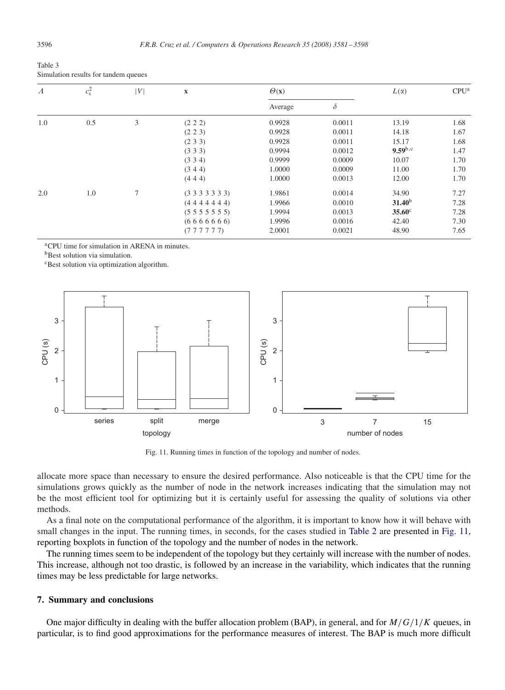<span id="page-15-0"></span>

| Table 3                              |  |
|--------------------------------------|--|
| Simulation results for tandem queues |  |

| $\Lambda$ | $c_{\rm s}^2$ | V      | $\mathbf X$             | $\Theta(\mathbf{x})$ |          | $L(\alpha)$        | CPU <sup>a</sup> |
|-----------|---------------|--------|-------------------------|----------------------|----------|--------------------|------------------|
|           |               |        |                         | Average              | $\delta$ |                    |                  |
| 1.0       | 0.5           | 3      | (2 2 2)                 | 0.9928               | 0.0011   | 13.19              | 1.68             |
|           |               |        | (2 2 3)                 | 0.9928               | 0.0011   | 14.18              | 1.67             |
|           |               |        | (233)                   | 0.9928               | 0.0011   | 15.17              | 1.68             |
|           |               |        | (333)                   | 0.9994               | 0.0012   | $9.59^{b,c}$       | 1.47             |
|           |               |        | (334)                   | 0.9999               | 0.0009   | 10.07              | 1.70             |
|           |               |        | (344)                   | 1.0000               | 0.0009   | 11.00              | 1.70             |
|           |               |        | (444)                   | 1.0000               | 0.0013   | 12.00              | 1.70             |
| 2.0       | 1.0           | $\tau$ | $(3\;3\;3\;3\;3\;3\;3)$ | 1.9861               | 0.0014   | 34.90              | 7.27             |
|           |               |        | (4444444)               | 1.9966               | 0.0010   | 31.40 <sup>b</sup> | 7.28             |
|           |               |        | (5555555)               | 1.9994               | 0.0013   | $35.60^\circ$      | 7.28             |
|           |               |        | (6666666)               | 1.9996               | 0.0016   | 42.40              | 7.30             |
|           |               |        | (777777)                | 2.0001               | 0.0021   | 48.90              | 7.65             |

aCPU time for simulation in ARENA in minutes.

**b**Best solution via simulation.

<sup>c</sup>Best solution via optimization algorithm.



Fig. 11. Running times in function of the topology and number of nodes.

allocate more space than necessary to ensure the desired performance. Also noticeable is that the CPU time for the simulations grows quickly as the number of node in the network increases indicating that the simulation may not be the most efficient tool for optimizing but it is certainly useful for assessing the quality of solutions via other methods.

As a final note on the computational performance of the algorithm, it is important to know how it will behave with small changes in the input. The running times, in seconds, for the cases studied in [Table 2](#page-14-0) are presented in Fig. 11, reporting boxplots in function of the topology and the number of nodes in the network.

The running times seem to be independent of the topology but they certainly will increase with the number of nodes. This increase, although not too drastic, is followed by an increase in the variability, which indicates that the running times may be less predictable for large networks.

## **7. Summary and conclusions**

One major difficulty in dealing with the buffer allocation problem (BAP), in general, and for  $M/G/1/K$  queues, in particular, is to find good approximations for the performance measures of interest. The BAP is much more difficult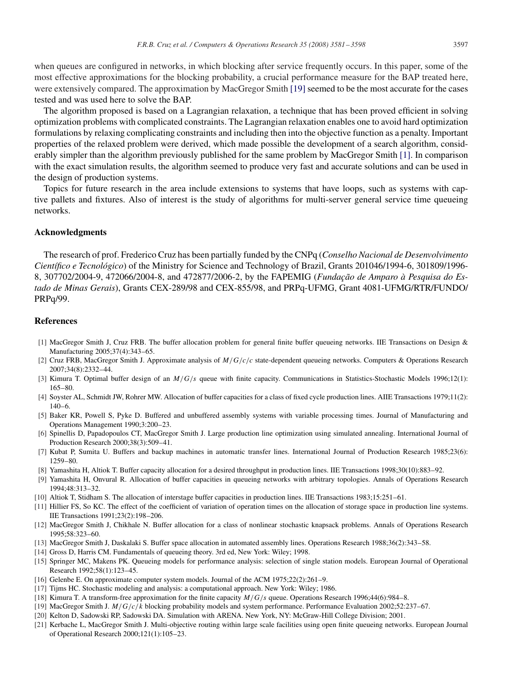<span id="page-16-0"></span>when queues are configured in networks, in which blocking after service frequently occurs. In this paper, some of the most effective approximations for the blocking probability, a crucial performance measure for the BAP treated here, were extensively compared. The approximation by MacGregor Smith [19] seemed to be the most accurate for the cases tested and was used here to solve the BAP.

The algorithm proposed is based on a Lagrangian relaxation, a technique that has been proved efficient in solving optimization problems with complicated constraints. The Lagrangian relaxation enables one to avoid hard optimization formulations by relaxing complicating constraints and including then into the objective function as a penalty. Important properties of the relaxed problem were derived, which made possible the development of a search algorithm, considerably simpler than the algorithm previously published for the same problem by MacGregor Smith [1]. In comparison with the exact simulation results, the algorithm seemed to produce very fast and accurate solutions and can be used in the design of production systems.

Topics for future research in the area include extensions to systems that have loops, such as systems with captive pallets and fixtures. Also of interest is the study of algorithms for multi-server general service time queueing networks.

# **Acknowledgments**

The research of prof. Frederico Cruz has been partially funded by the CNPq (*Conselho Nacional de Desenvolvimento Científico e Tecnológico*) of the Ministry for Science and Technology of Brazil, Grants 201046/1994-6, 301809/1996- 8, 307702/2004-9, 472066/2004-8, and 472877/2006-2, by the FAPEMIG (*Fundação de Amparo à Pesquisa do Estado de Minas Gerais*), Grants CEX-289/98 and CEX-855/98, and PRPq-UFMG, Grant 4081-UFMG/RTR/FUNDO/ PRPq/99.

## **References**

- [1] MacGregor Smith J, Cruz FRB. The buffer allocation problem for general finite buffer queueing networks. IIE Transactions on Design & Manufacturing 2005;37(4):343–65.
- [2] Cruz FRB, MacGregor Smith J. Approximate analysis of  $M/G/c/c$  state-dependent queueing networks. Computers & Operations Research 2007;34(8):2332–44.
- [3] Kimura T. Optimal buffer design of an M/G/s queue with finite capacity. Communications in Statistics-Stochastic Models 1996;12(1): 165–80.
- [4] Soyster AL, Schmidt JW, Rohrer MW. Allocation of buffer capacities for a class of fixed cycle production lines. AIIE Transactions 1979;11(2): 140–6.
- [5] Baker KR, Powell S, Pyke D. Buffered and unbuffered assembly systems with variable processing times. Journal of Manufacturing and Operations Management 1990;3:200–23.
- [6] Spinellis D, Papadopoulos CT, MacGregor Smith J. Large production line optimization using simulated annealing. International Journal of Production Research 2000;38(3):509–41.
- [7] Kubat P, Sumita U. Buffers and backup machines in automatic transfer lines. International Journal of Production Research 1985;23(6): 1259–80.
- [8] Yamashita H, Altiok T. Buffer capacity allocation for a desired throughput in production lines. IIE Transactions 1998;30(10):883–92.
- [9] Yamashita H, Onvural R. Allocation of buffer capacities in queueing networks with arbitrary topologies. Annals of Operations Research 1994;48:313–32.
- [10] Altiok T, Stidham S. The allocation of interstage buffer capacities in production lines. IIE Transactions 1983;15:251–61.
- [11] Hillier FS, So KC. The effect of the coefficient of variation of operation times on the allocation of storage space in production line systems. IIE Transactions 1991;23(2):198–206.
- [12] MacGregor Smith J, Chikhale N. Buffer allocation for a class of nonlinear stochastic knapsack problems. Annals of Operations Research 1995;58:323–60.
- [13] MacGregor Smith J, Daskalaki S. Buffer space allocation in automated assembly lines. Operations Research 1988;36(2):343–58.
- [14] Gross D, Harris CM. Fundamentals of queueing theory. 3rd ed, New York: Wiley; 1998.
- [15] Springer MC, Makens PK. Queueing models for performance analysis: selection of single station models. European Journal of Operational Research 1992;58(1):123–45.
- [16] Gelenbe E. On approximate computer system models. Journal of the ACM 1975;22(2):261–9.
- [17] Tijms HC. Stochastic modeling and analysis: a computational approach. New York: Wiley; 1986.
- [18] Kimura T. A transform-free approximation for the finite capacity  $M/G/s$  queue. Operations Research 1996;44(6):984–8.
- [19] MacGregor Smith J. M/G/c/k blocking probability models and system performance. Performance Evaluation 2002;52:237–67.
- [20] Kelton D, Sadowski RP, Sadowski DA. Simulation with ARENA. New York, NY: McGraw-Hill College Division; 2001.
- [21] Kerbache L, MacGregor Smith J. Multi-objective routing within large scale facilities using open finite queueing networks. European Journal of Operational Research 2000;121(1):105–23.